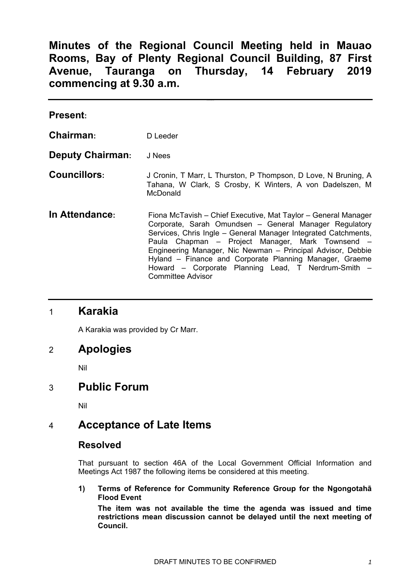# **Minutes of the Regional Council Meeting held in Mauao Rooms, Bay of Plenty Regional Council Building, 87 First Avenue, Tauranga on Thursday, 14 February 2019 commencing at 9.30 a.m.**

| <b>Present:</b>         |                                                                                                                                                                                                                                                                                                                                                                                                                                                             |
|-------------------------|-------------------------------------------------------------------------------------------------------------------------------------------------------------------------------------------------------------------------------------------------------------------------------------------------------------------------------------------------------------------------------------------------------------------------------------------------------------|
| Chairman:               | D Leeder                                                                                                                                                                                                                                                                                                                                                                                                                                                    |
| <b>Deputy Chairman:</b> | J Nees                                                                                                                                                                                                                                                                                                                                                                                                                                                      |
| <b>Councillors:</b>     | J Cronin, T Marr, L Thurston, P Thompson, D Love, N Bruning, A<br>Tahana, W Clark, S Crosby, K Winters, A von Dadelszen, M<br>McDonald                                                                                                                                                                                                                                                                                                                      |
| In Attendance:          | Fiona McTavish – Chief Executive, Mat Taylor – General Manager<br>Corporate, Sarah Omundsen - General Manager Regulatory<br>Services, Chris Ingle - General Manager Integrated Catchments,<br>Paula Chapman - Project Manager, Mark Townsend -<br>Engineering Manager, Nic Newman - Principal Advisor, Debbie<br>Hyland – Finance and Corporate Planning Manager, Graeme<br>Howard – Corporate Planning Lead, T Nerdrum-Smith –<br><b>Committee Advisor</b> |

## 1 **Karakia**

A Karakia was provided by Cr Marr.

## 2 **Apologies**

Nil

## 3 **Public Forum**

Nil

## 4 **Acceptance of Late Items**

### **Resolved**

That pursuant to section 46A of the Local Government Official Information and Meetings Act 1987 the following items be considered at this meeting.

**1) Terms of Reference for Community Reference Group for the Ngongotahā Flood Event** 

**The item was not available the time the agenda was issued and time restrictions mean discussion cannot be delayed until the next meeting of Council.**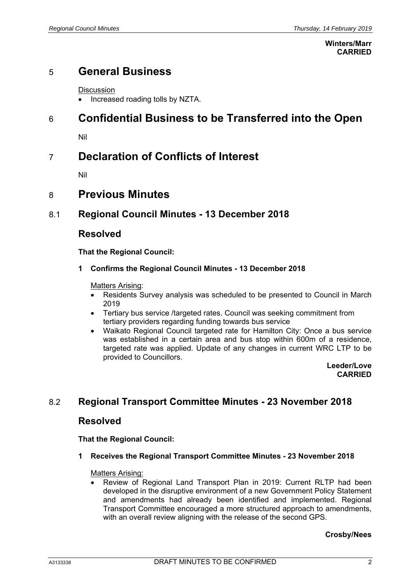#### **Winters/Marr CARRIED**

# 5 **General Business**

**Discussion** 

• Increased roading tolls by NZTA.

# 6 **Confidential Business to be Transferred into the Open**

Nil

# 7 **Declaration of Conflicts of Interest**

Nil

## 8 **Previous Minutes**

## 8.1 **Regional Council Minutes - 13 December 2018**

### **Resolved**

**That the Regional Council:** 

#### **1 Confirms the Regional Council Minutes - 13 December 2018**

#### Matters Arising:

- Residents Survey analysis was scheduled to be presented to Council in March 2019
- Tertiary bus service /targeted rates. Council was seeking commitment from tertiary providers regarding funding towards bus service
- Waikato Regional Council targeted rate for Hamilton City: Once a bus service was established in a certain area and bus stop within 600m of a residence, targeted rate was applied. Update of any changes in current WRC LTP to be provided to Councillors.

**Leeder/Love CARRIED**

## 8.2 **Regional Transport Committee Minutes - 23 November 2018**

### **Resolved**

**That the Regional Council:** 

#### **1 Receives the Regional Transport Committee Minutes - 23 November 2018**

#### Matters Arising:

 Review of Regional Land Transport Plan in 2019: Current RLTP had been developed in the disruptive environment of a new Government Policy Statement and amendments had already been identified and implemented. Regional Transport Committee encouraged a more structured approach to amendments, with an overall review aligning with the release of the second GPS.

#### **Crosby/Nees**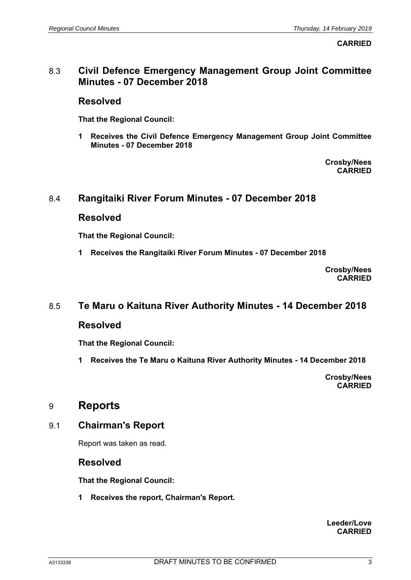**CARRIED**

### 8.3 **Civil Defence Emergency Management Group Joint Committee Minutes - 07 December 2018**

### **Resolved**

**That the Regional Council:** 

**1 Receives the Civil Defence Emergency Management Group Joint Committee Minutes - 07 December 2018** 

> **Crosby/Nees CARRIED**

### 8.4 **Rangitaiki River Forum Minutes - 07 December 2018**

### **Resolved**

**That the Regional Council:** 

**1 Receives the Rangitaiki River Forum Minutes - 07 December 2018** 

**Crosby/Nees CARRIED**

### 8.5 **Te Maru o Kaituna River Authority Minutes - 14 December 2018**

#### **Resolved**

**That the Regional Council:** 

**1 Receives the Te Maru o Kaituna River Authority Minutes - 14 December 2018** 

**Crosby/Nees CARRIED**

## 9 **Reports**

### 9.1 **Chairman's Report**

Report was taken as read.

### **Resolved**

**That the Regional Council:** 

**1 Receives the report, Chairman's Report.** 

**Leeder/Love CARRIED**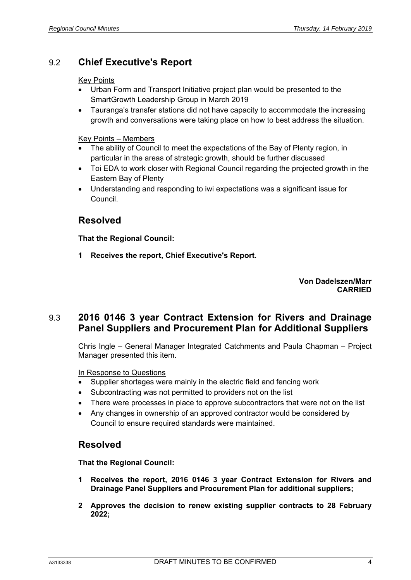## 9.2 **Chief Executive's Report**

#### Key Points

- Urban Form and Transport Initiative project plan would be presented to the SmartGrowth Leadership Group in March 2019
- Tauranga's transfer stations did not have capacity to accommodate the increasing growth and conversations were taking place on how to best address the situation.

#### Key Points – Members

- The ability of Council to meet the expectations of the Bay of Plenty region, in particular in the areas of strategic growth, should be further discussed
- Toi EDA to work closer with Regional Council regarding the projected growth in the Eastern Bay of Plenty
- Understanding and responding to iwi expectations was a significant issue for Council.

## **Resolved**

**That the Regional Council:** 

**1 Receives the report, Chief Executive's Report.** 

**Von Dadelszen/Marr CARRIED**

## 9.3 **2016 0146 3 year Contract Extension for Rivers and Drainage Panel Suppliers and Procurement Plan for Additional Suppliers**

Chris Ingle – General Manager Integrated Catchments and Paula Chapman – Project Manager presented this item.

#### In Response to Questions

- Supplier shortages were mainly in the electric field and fencing work
- Subcontracting was not permitted to providers not on the list
- There were processes in place to approve subcontractors that were not on the list
- Any changes in ownership of an approved contractor would be considered by Council to ensure required standards were maintained.

### **Resolved**

**That the Regional Council:** 

- **1 Receives the report, 2016 0146 3 year Contract Extension for Rivers and Drainage Panel Suppliers and Procurement Plan for additional suppliers;**
- **2 Approves the decision to renew existing supplier contracts to 28 February 2022;**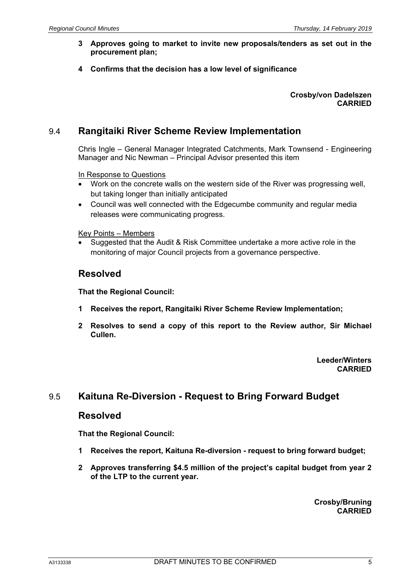- **3 Approves going to market to invite new proposals/tenders as set out in the procurement plan;**
- **4 Confirms that the decision has a low level of significance**

**Crosby/von Dadelszen CARRIED**

### 9.4 **Rangitaiki River Scheme Review Implementation**

Chris Ingle – General Manager Integrated Catchments, Mark Townsend - Engineering Manager and Nic Newman – Principal Advisor presented this item

#### In Response to Questions

- Work on the concrete walls on the western side of the River was progressing well, but taking longer than initially anticipated
- Council was well connected with the Edgecumbe community and regular media releases were communicating progress.

#### Key Points – Members

 Suggested that the Audit & Risk Committee undertake a more active role in the monitoring of major Council projects from a governance perspective.

#### **Resolved**

**That the Regional Council:** 

- **1 Receives the report, Rangitaiki River Scheme Review Implementation;**
- **2 Resolves to send a copy of this report to the Review author, Sir Michael Cullen.**

**Leeder/Winters CARRIED**

#### 9.5 **Kaituna Re-Diversion - Request to Bring Forward Budget**

#### **Resolved**

**That the Regional Council:** 

- **1 Receives the report, Kaituna Re-diversion request to bring forward budget;**
- **2 Approves transferring \$4.5 million of the project's capital budget from year 2 of the LTP to the current year.**

**Crosby/Bruning CARRIED**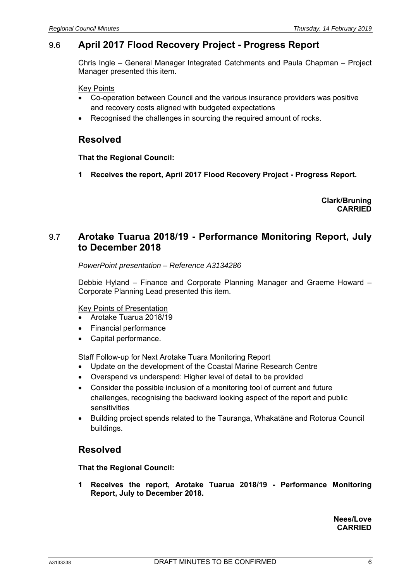## 9.6 **April 2017 Flood Recovery Project - Progress Report**

Chris Ingle – General Manager Integrated Catchments and Paula Chapman – Project Manager presented this item.

Key Points

- Co-operation between Council and the various insurance providers was positive and recovery costs aligned with budgeted expectations
- Recognised the challenges in sourcing the required amount of rocks.

## **Resolved**

**That the Regional Council:** 

**1 Receives the report, April 2017 Flood Recovery Project - Progress Report.** 

**Clark/Bruning CARRIED**

## 9.7 **Arotake Tuarua 2018/19 - Performance Monitoring Report, July to December 2018**

*PowerPoint presentation – Reference A3134286* 

Debbie Hyland – Finance and Corporate Planning Manager and Graeme Howard – Corporate Planning Lead presented this item.

#### Key Points of Presentation

- Arotake Tuarua 2018/19
- Financial performance
- Capital performance.

Staff Follow-up for Next Arotake Tuara Monitoring Report

- Update on the development of the Coastal Marine Research Centre
- Overspend vs underspend: Higher level of detail to be provided
- Consider the possible inclusion of a monitoring tool of current and future challenges, recognising the backward looking aspect of the report and public sensitivities
- Building project spends related to the Tauranga, Whakatāne and Rotorua Council buildings.

## **Resolved**

**That the Regional Council:** 

**1 Receives the report, Arotake Tuarua 2018/19 - Performance Monitoring Report, July to December 2018.** 

> **Nees/Love CARRIED**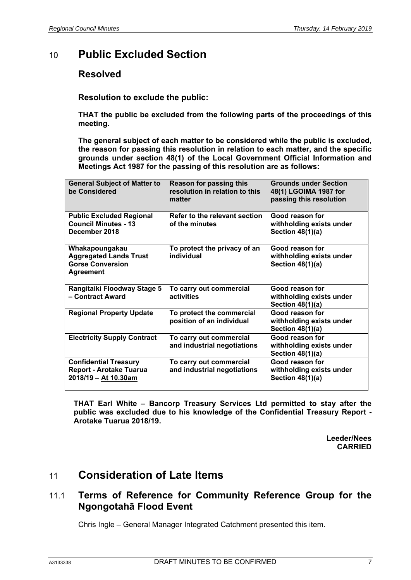# 10 **Public Excluded Section**

## **Resolved**

**Resolution to exclude the public:** 

**THAT the public be excluded from the following parts of the proceedings of this meeting.** 

**The general subject of each matter to be considered while the public is excluded, the reason for passing this resolution in relation to each matter, and the specific grounds under section 48(1) of the Local Government Official Information and Meetings Act 1987 for the passing of this resolution are as follows:** 

| <b>General Subject of Matter to</b><br>be Considered                                           | <b>Reason for passing this</b><br>resolution in relation to this<br>matter | <b>Grounds under Section</b><br>48(1) LGOIMA 1987 for<br>passing this resolution |
|------------------------------------------------------------------------------------------------|----------------------------------------------------------------------------|----------------------------------------------------------------------------------|
| <b>Public Excluded Regional</b><br><b>Council Minutes - 13</b><br>December 2018                | Refer to the relevant section<br>of the minutes                            | Good reason for<br>withholding exists under<br>Section 48(1)(a)                  |
| Whakapoungakau<br><b>Aggregated Lands Trust</b><br><b>Gorse Conversion</b><br><b>Agreement</b> | To protect the privacy of an<br>individual                                 | Good reason for<br>withholding exists under<br>Section $48(1)(a)$                |
| Rangitaiki Floodway Stage 5<br>- Contract Award                                                | To carry out commercial<br>activities                                      | Good reason for<br>withholding exists under<br>Section 48(1)(a)                  |
| <b>Regional Property Update</b>                                                                | To protect the commercial<br>position of an individual                     | Good reason for<br>withholding exists under<br>Section $48(1)(a)$                |
| <b>Electricity Supply Contract</b>                                                             | To carry out commercial<br>and industrial negotiations                     | Good reason for<br>withholding exists under<br>Section $48(1)(a)$                |
| <b>Confidential Treasury</b><br><b>Report - Arotake Tuarua</b><br>2018/19 - At 10.30am         | To carry out commercial<br>and industrial negotiations                     | Good reason for<br>withholding exists under<br>Section 48(1)(a)                  |

**THAT Earl White – Bancorp Treasury Services Ltd permitted to stay after the public was excluded due to his knowledge of the Confidential Treasury Report - Arotake Tuarua 2018/19.** 

> **Leeder/Nees CARRIED**

# 11 **Consideration of Late Items**

## 11.1 **Terms of Reference for Community Reference Group for the Ngongotahā Flood Event**

Chris Ingle – General Manager Integrated Catchment presented this item.